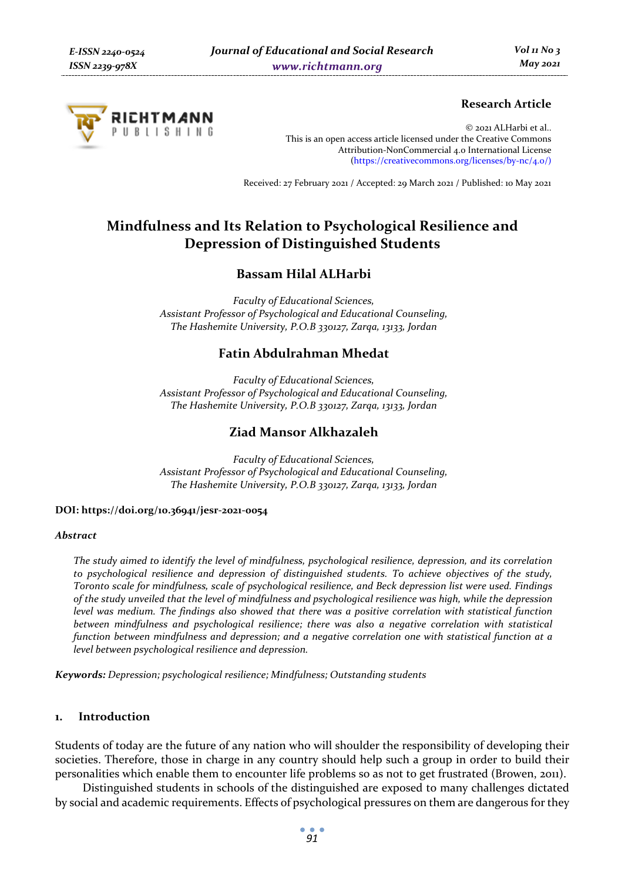

# **Research Article**

© 2021 ALHarbi et al.. This is an open access article licensed under the Creative Commons Attribution-NonCommercial 4.0 International License (https://creativecommons.org/licenses/by-nc/4.0/)

Received: 27 February 2021 / Accepted: 29 March 2021 / Published: 10 May 2021

# **Mindfulness and Its Relation to Psychological Resilience and Depression of Distinguished Students**

# **Bassam Hilal ALHarbi**

*Faculty of Educational Sciences, Assistant Professor of Psychological and Educational Counseling, The Hashemite University, P.O.B 330127, Zarqa, 13133, Jordan* 

# **Fatin Abdulrahman Mhedat**

*Faculty of Educational Sciences, Assistant Professor of Psychological and Educational Counseling, The Hashemite University, P.O.B 330127, Zarqa, 13133, Jordan* 

# **Ziad Mansor Alkhazaleh**

*Faculty of Educational Sciences, Assistant Professor of Psychological and Educational Counseling, The Hashemite University, P.O.B 330127, Zarqa, 13133, Jordan* 

#### **DOI: https://doi.org/10.36941/jesr-2021-0054**

#### *Abstract*

*The study aimed to identify the level of mindfulness, psychological resilience, depression, and its correlation to psychological resilience and depression of distinguished students. To achieve objectives of the study, Toronto scale for mindfulness, scale of psychological resilience, and Beck depression list were used. Findings of the study unveiled that the level of mindfulness and psychological resilience was high, while the depression level was medium. The findings also showed that there was a positive correlation with statistical function between mindfulness and psychological resilience; there was also a negative correlation with statistical function between mindfulness and depression; and a negative correlation one with statistical function at a level between psychological resilience and depression.* 

*Keywords: Depression; psychological resilience; Mindfulness; Outstanding students* 

#### **1. Introduction**

Students of today are the future of any nation who will shoulder the responsibility of developing their societies. Therefore, those in charge in any country should help such a group in order to build their personalities which enable them to encounter life problems so as not to get frustrated (Browen, 2011).

Distinguished students in schools of the distinguished are exposed to many challenges dictated by social and academic requirements. Effects of psychological pressures on them are dangerous for they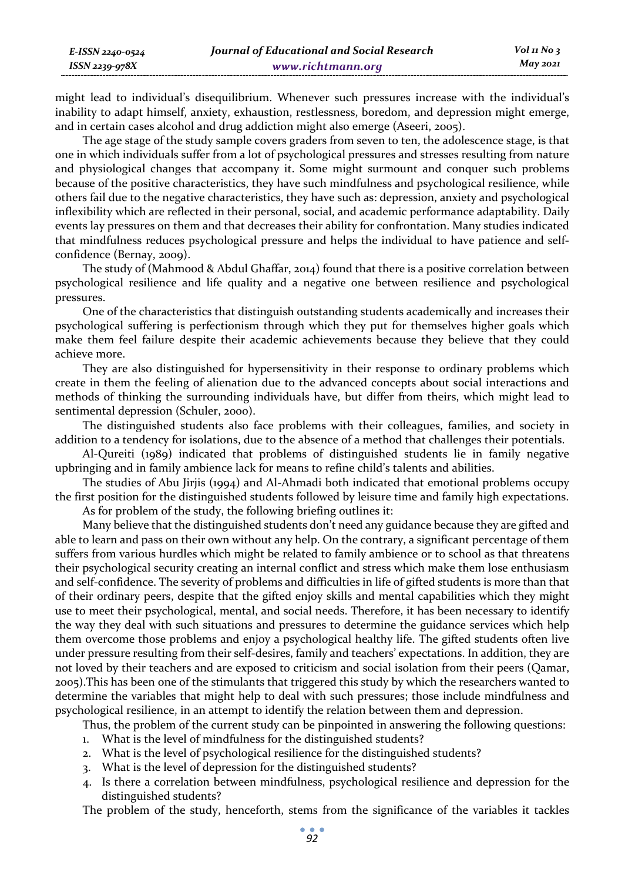might lead to individual's disequilibrium. Whenever such pressures increase with the individual's inability to adapt himself, anxiety, exhaustion, restlessness, boredom, and depression might emerge, and in certain cases alcohol and drug addiction might also emerge (Aseeri, 2005).

*E-ISSN 2240-0524 ISSN 2239-978X*

The age stage of the study sample covers graders from seven to ten, the adolescence stage, is that one in which individuals suffer from a lot of psychological pressures and stresses resulting from nature and physiological changes that accompany it. Some might surmount and conquer such problems because of the positive characteristics, they have such mindfulness and psychological resilience, while others fail due to the negative characteristics, they have such as: depression, anxiety and psychological inflexibility which are reflected in their personal, social, and academic performance adaptability. Daily events lay pressures on them and that decreases their ability for confrontation. Many studies indicated that mindfulness reduces psychological pressure and helps the individual to have patience and selfconfidence (Bernay, 2009).

The study of (Mahmood & Abdul Ghaffar, 2014) found that there is a positive correlation between psychological resilience and life quality and a negative one between resilience and psychological pressures.

One of the characteristics that distinguish outstanding students academically and increases their psychological suffering is perfectionism through which they put for themselves higher goals which make them feel failure despite their academic achievements because they believe that they could achieve more.

They are also distinguished for hypersensitivity in their response to ordinary problems which create in them the feeling of alienation due to the advanced concepts about social interactions and methods of thinking the surrounding individuals have, but differ from theirs, which might lead to sentimental depression (Schuler, 2000).

The distinguished students also face problems with their colleagues, families, and society in addition to a tendency for isolations, due to the absence of a method that challenges their potentials.

Al-Qureiti (1989) indicated that problems of distinguished students lie in family negative upbringing and in family ambience lack for means to refine child's talents and abilities.

The studies of Abu Jirjis (1994) and Al-Ahmadi both indicated that emotional problems occupy the first position for the distinguished students followed by leisure time and family high expectations. As for problem of the study, the following briefing outlines it:

Many believe that the distinguished students don't need any guidance because they are gifted and able to learn and pass on their own without any help. On the contrary, a significant percentage of them suffers from various hurdles which might be related to family ambience or to school as that threatens their psychological security creating an internal conflict and stress which make them lose enthusiasm and self-confidence. The severity of problems and difficulties in life of gifted students is more than that of their ordinary peers, despite that the gifted enjoy skills and mental capabilities which they might use to meet their psychological, mental, and social needs. Therefore, it has been necessary to identify the way they deal with such situations and pressures to determine the guidance services which help them overcome those problems and enjoy a psychological healthy life. The gifted students often live under pressure resulting from their self-desires, family and teachers' expectations. In addition, they are not loved by their teachers and are exposed to criticism and social isolation from their peers (Qamar, 2005).This has been one of the stimulants that triggered this study by which the researchers wanted to determine the variables that might help to deal with such pressures; those include mindfulness and psychological resilience, in an attempt to identify the relation between them and depression.

Thus, the problem of the current study can be pinpointed in answering the following questions:

- 1. What is the level of mindfulness for the distinguished students?
- 2. What is the level of psychological resilience for the distinguished students?
- 3. What is the level of depression for the distinguished students?
- 4. Is there a correlation between mindfulness, psychological resilience and depression for the distinguished students?

The problem of the study, henceforth, stems from the significance of the variables it tackles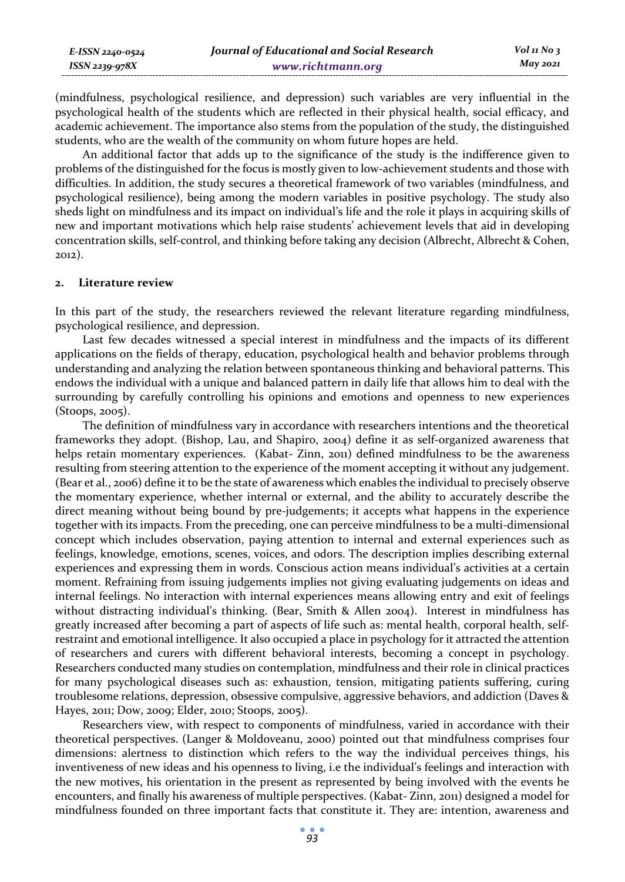| E-ISSN 2240-0524 | Journal of Educational and Social Research | $Vol_1N_0_3$ |
|------------------|--------------------------------------------|--------------|
| ISSN 2239-978X   | www.richtmann.org                          | May 2021     |

(mindfulness, psychological resilience, and depression) such variables are very influential in the psychological health of the students which are reflected in their physical health, social efficacy, and academic achievement. The importance also stems from the population of the study, the distinguished students, who are the wealth of the community on whom future hopes are held.

An additional factor that adds up to the significance of the study is the indifference given to problems of the distinguished for the focus is mostly given to low-achievement students and those with difficulties. In addition, the study secures a theoretical framework of two variables (mindfulness, and psychological resilience), being among the modern variables in positive psychology. The study also sheds light on mindfulness and its impact on individual's life and the role it plays in acquiring skills of new and important motivations which help raise students' achievement levels that aid in developing concentration skills, self-control, and thinking before taking any decision (Albrecht, Albrecht & Cohen, 2012).

#### **2. Literature review**

In this part of the study, the researchers reviewed the relevant literature regarding mindfulness, psychological resilience, and depression.

Last few decades witnessed a special interest in mindfulness and the impacts of its different applications on the fields of therapy, education, psychological health and behavior problems through understanding and analyzing the relation between spontaneous thinking and behavioral patterns. This endows the individual with a unique and balanced pattern in daily life that allows him to deal with the surrounding by carefully controlling his opinions and emotions and openness to new experiences (Stoops, 2005).

The definition of mindfulness vary in accordance with researchers intentions and the theoretical frameworks they adopt. (Bishop, Lau, and Shapiro, 2004) define it as self-organized awareness that helps retain momentary experiences. (Kabat- Zinn, 2011) defined mindfulness to be the awareness resulting from steering attention to the experience of the moment accepting it without any judgement. (Bear et al., 2006) define it to be the state of awareness which enables the individual to precisely observe the momentary experience, whether internal or external, and the ability to accurately describe the direct meaning without being bound by pre-judgements; it accepts what happens in the experience together with its impacts. From the preceding, one can perceive mindfulness to be a multi-dimensional concept which includes observation, paying attention to internal and external experiences such as feelings, knowledge, emotions, scenes, voices, and odors. The description implies describing external experiences and expressing them in words. Conscious action means individual's activities at a certain moment. Refraining from issuing judgements implies not giving evaluating judgements on ideas and internal feelings. No interaction with internal experiences means allowing entry and exit of feelings without distracting individual's thinking. (Bear, Smith & Allen 2004). Interest in mindfulness has greatly increased after becoming a part of aspects of life such as: mental health, corporal health, selfrestraint and emotional intelligence. It also occupied a place in psychology for it attracted the attention of researchers and curers with different behavioral interests, becoming a concept in psychology. Researchers conducted many studies on contemplation, mindfulness and their role in clinical practices for many psychological diseases such as: exhaustion, tension, mitigating patients suffering, curing troublesome relations, depression, obsessive compulsive, aggressive behaviors, and addiction (Daves & Hayes, 2011; Dow, 2009; Elder, 2010; Stoops, 2005).

Researchers view, with respect to components of mindfulness, varied in accordance with their theoretical perspectives. (Langer & Moldoveanu, 2000) pointed out that mindfulness comprises four dimensions: alertness to distinction which refers to the way the individual perceives things, his inventiveness of new ideas and his openness to living, i.e the individual's feelings and interaction with the new motives, his orientation in the present as represented by being involved with the events he encounters, and finally his awareness of multiple perspectives. (Kabat- Zinn, 2011) designed a model for mindfulness founded on three important facts that constitute it. They are: intention, awareness and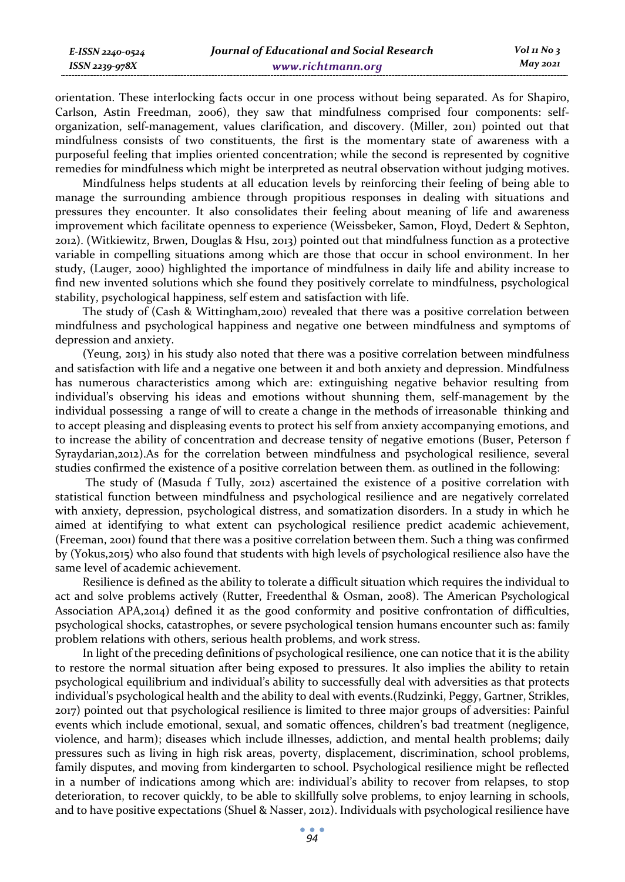*E-ISSN 2240-0524 ISSN 2239-978X*

orientation. These interlocking facts occur in one process without being separated. As for Shapiro, Carlson, Astin Freedman, 2006), they saw that mindfulness comprised four components: selforganization, self-management, values clarification, and discovery. (Miller, 2011) pointed out that mindfulness consists of two constituents, the first is the momentary state of awareness with a purposeful feeling that implies oriented concentration; while the second is represented by cognitive remedies for mindfulness which might be interpreted as neutral observation without judging motives.

Mindfulness helps students at all education levels by reinforcing their feeling of being able to manage the surrounding ambience through propitious responses in dealing with situations and pressures they encounter. It also consolidates their feeling about meaning of life and awareness improvement which facilitate openness to experience (Weissbeker, Samon, Floyd, Dedert & Sephton, 2012). (Witkiewitz, Brwen, Douglas & Hsu, 2013) pointed out that mindfulness function as a protective variable in compelling situations among which are those that occur in school environment. In her study, (Lauger, 2000) highlighted the importance of mindfulness in daily life and ability increase to find new invented solutions which she found they positively correlate to mindfulness, psychological stability, psychological happiness, self estem and satisfaction with life.

The study of (Cash & Wittingham,2010) revealed that there was a positive correlation between mindfulness and psychological happiness and negative one between mindfulness and symptoms of depression and anxiety.

(Yeung, 2013) in his study also noted that there was a positive correlation between mindfulness and satisfaction with life and a negative one between it and both anxiety and depression. Mindfulness has numerous characteristics among which are: extinguishing negative behavior resulting from individual's observing his ideas and emotions without shunning them, self-management by the individual possessing a range of will to create a change in the methods of irreasonable thinking and to accept pleasing and displeasing events to protect his self from anxiety accompanying emotions, and to increase the ability of concentration and decrease tensity of negative emotions (Buser, Peterson f Syraydarian,2012).As for the correlation between mindfulness and psychological resilience, several studies confirmed the existence of a positive correlation between them. as outlined in the following:

 The study of (Masuda f Tully, 2012) ascertained the existence of a positive correlation with statistical function between mindfulness and psychological resilience and are negatively correlated with anxiety, depression, psychological distress, and somatization disorders. In a study in which he aimed at identifying to what extent can psychological resilience predict academic achievement, (Freeman, 2001) found that there was a positive correlation between them. Such a thing was confirmed by (Yokus,2015) who also found that students with high levels of psychological resilience also have the same level of academic achievement.

Resilience is defined as the ability to tolerate a difficult situation which requires the individual to act and solve problems actively (Rutter, Freedenthal & Osman, 2008). The American Psychological Association APA,2014) defined it as the good conformity and positive confrontation of difficulties, psychological shocks, catastrophes, or severe psychological tension humans encounter such as: family problem relations with others, serious health problems, and work stress.

In light of the preceding definitions of psychological resilience, one can notice that it is the ability to restore the normal situation after being exposed to pressures. It also implies the ability to retain psychological equilibrium and individual's ability to successfully deal with adversities as that protects individual's psychological health and the ability to deal with events.(Rudzinki, Peggy, Gartner, Strikles, 2017) pointed out that psychological resilience is limited to three major groups of adversities: Painful events which include emotional, sexual, and somatic offences, children's bad treatment (negligence, violence, and harm); diseases which include illnesses, addiction, and mental health problems; daily pressures such as living in high risk areas, poverty, displacement, discrimination, school problems, family disputes, and moving from kindergarten to school. Psychological resilience might be reflected in a number of indications among which are: individual's ability to recover from relapses, to stop deterioration, to recover quickly, to be able to skillfully solve problems, to enjoy learning in schools, and to have positive expectations (Shuel & Nasser, 2012). Individuals with psychological resilience have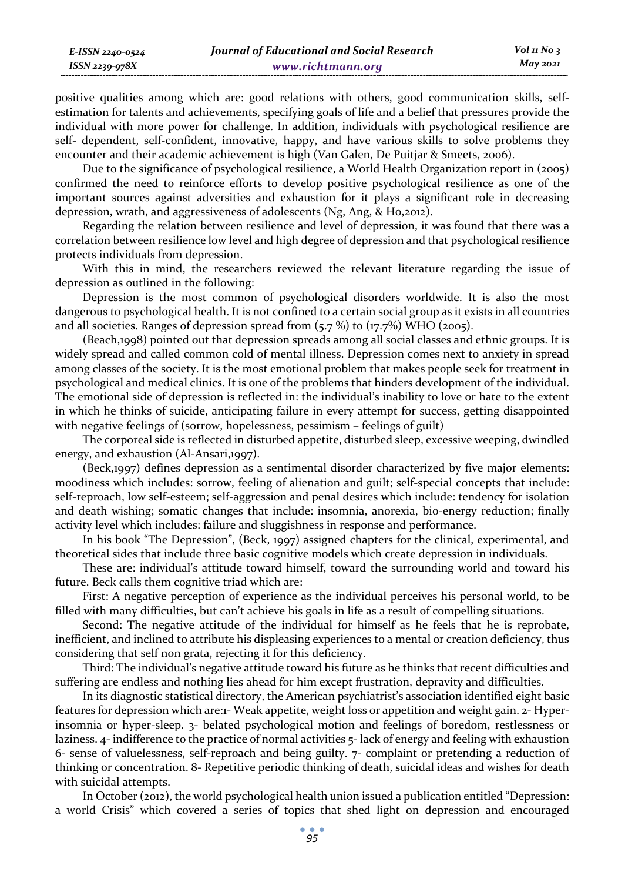positive qualities among which are: good relations with others, good communication skills, selfestimation for talents and achievements, specifying goals of life and a belief that pressures provide the individual with more power for challenge. In addition, individuals with psychological resilience are self- dependent, self-confident, innovative, happy, and have various skills to solve problems they encounter and their academic achievement is high (Van Galen, De Puitjar & Smeets, 2006).

Due to the significance of psychological resilience, a World Health Organization report in (2005) confirmed the need to reinforce efforts to develop positive psychological resilience as one of the important sources against adversities and exhaustion for it plays a significant role in decreasing depression, wrath, and aggressiveness of adolescents (Ng, Ang, & Ho,2012).

Regarding the relation between resilience and level of depression, it was found that there was a correlation between resilience low level and high degree of depression and that psychological resilience protects individuals from depression.

With this in mind, the researchers reviewed the relevant literature regarding the issue of depression as outlined in the following:

Depression is the most common of psychological disorders worldwide. It is also the most dangerous to psychological health. It is not confined to a certain social group as it exists in all countries and all societies. Ranges of depression spread from  $(5.7\%)$  to  $(17.7\%)$  WHO (2005).

(Beach,1998) pointed out that depression spreads among all social classes and ethnic groups. It is widely spread and called common cold of mental illness. Depression comes next to anxiety in spread among classes of the society. It is the most emotional problem that makes people seek for treatment in psychological and medical clinics. It is one of the problems that hinders development of the individual. The emotional side of depression is reflected in: the individual's inability to love or hate to the extent in which he thinks of suicide, anticipating failure in every attempt for success, getting disappointed with negative feelings of (sorrow, hopelessness, pessimism – feelings of guilt)

The corporeal side is reflected in disturbed appetite, disturbed sleep, excessive weeping, dwindled energy, and exhaustion (Al-Ansari,1997).

(Beck,1997) defines depression as a sentimental disorder characterized by five major elements: moodiness which includes: sorrow, feeling of alienation and guilt; self-special concepts that include: self-reproach, low self-esteem; self-aggression and penal desires which include: tendency for isolation and death wishing; somatic changes that include: insomnia, anorexia, bio-energy reduction; finally activity level which includes: failure and sluggishness in response and performance.

In his book "The Depression", (Beck, 1997) assigned chapters for the clinical, experimental, and theoretical sides that include three basic cognitive models which create depression in individuals.

These are: individual's attitude toward himself, toward the surrounding world and toward his future. Beck calls them cognitive triad which are:

First: A negative perception of experience as the individual perceives his personal world, to be filled with many difficulties, but can't achieve his goals in life as a result of compelling situations.

Second: The negative attitude of the individual for himself as he feels that he is reprobate, inefficient, and inclined to attribute his displeasing experiences to a mental or creation deficiency, thus considering that self non grata, rejecting it for this deficiency.

Third: The individual's negative attitude toward his future as he thinks that recent difficulties and suffering are endless and nothing lies ahead for him except frustration, depravity and difficulties.

In its diagnostic statistical directory, the American psychiatrist's association identified eight basic features for depression which are:1- Weak appetite, weight loss or appetition and weight gain. 2- Hyperinsomnia or hyper-sleep. 3- belated psychological motion and feelings of boredom, restlessness or laziness. 4- indifference to the practice of normal activities 5- lack of energy and feeling with exhaustion 6- sense of valuelessness, self-reproach and being guilty. 7- complaint or pretending a reduction of thinking or concentration. 8- Repetitive periodic thinking of death, suicidal ideas and wishes for death with suicidal attempts.

In October (2012), the world psychological health union issued a publication entitled "Depression: a world Crisis" which covered a series of topics that shed light on depression and encouraged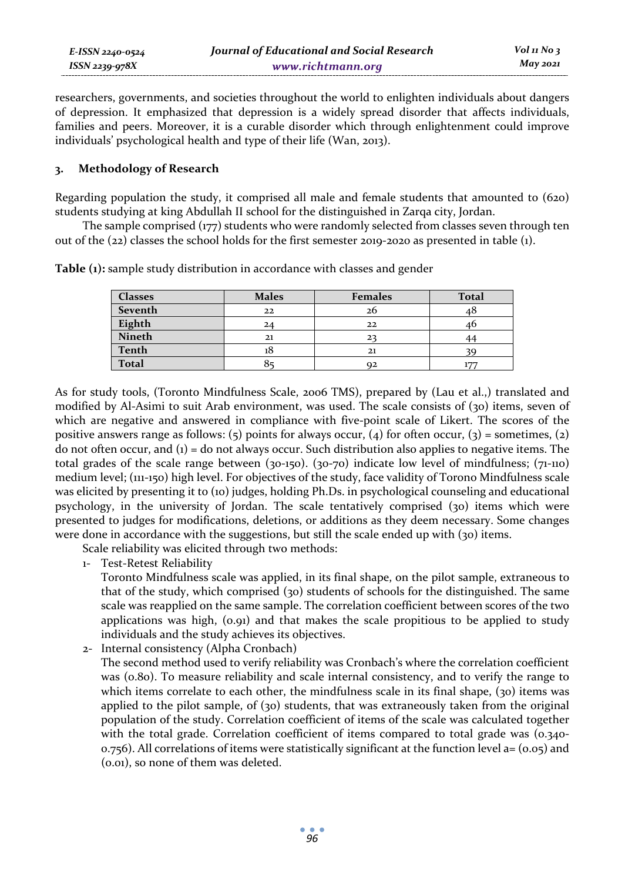| E-ISSN 2240-0524 | Journal of Educational and Social Research | Vol 11 No $\frac{1}{3}$ |
|------------------|--------------------------------------------|-------------------------|
| ISSN 2239-978X   | www.richtmann.org                          | May 2021                |

researchers, governments, and societies throughout the world to enlighten individuals about dangers of depression. It emphasized that depression is a widely spread disorder that affects individuals, families and peers. Moreover, it is a curable disorder which through enlightenment could improve individuals' psychological health and type of their life (Wan, 2013).

#### **3. Methodology of Research**

Regarding population the study, it comprised all male and female students that amounted to (620) students studying at king Abdullah II school for the distinguished in Zarqa city, Jordan.

The sample comprised (177) students who were randomly selected from classes seven through ten out of the (22) classes the school holds for the first semester 2019-2020 as presented in table (1).

| <b>Classes</b> | <b>Males</b> | <b>Females</b> | <b>Total</b> |
|----------------|--------------|----------------|--------------|
| Seventh        | 22           | 26             | 40           |
| Eighth         | 24           | 22             |              |
| Nineth         | 21           | 22             |              |
| Tenth          |              | 21             |              |
| <b>Total</b>   |              | Q2             |              |

**Table (1):** sample study distribution in accordance with classes and gender

As for study tools, (Toronto Mindfulness Scale, 2006 TMS), prepared by (Lau et al.,) translated and modified by Al-Asimi to suit Arab environment, was used. The scale consists of (30) items, seven of which are negative and answered in compliance with five-point scale of Likert. The scores of the positive answers range as follows: (5) points for always occur, (4) for often occur, (3) = sometimes, (2) do not often occur, and  $(i)$  = do not always occur. Such distribution also applies to negative items. The total grades of the scale range between (30-150). (30-70) indicate low level of mindfulness; (71-110) medium level; (111-150) high level. For objectives of the study, face validity of Torono Mindfulness scale was elicited by presenting it to (10) judges, holding Ph.Ds. in psychological counseling and educational psychology, in the university of Jordan. The scale tentatively comprised (30) items which were presented to judges for modifications, deletions, or additions as they deem necessary. Some changes were done in accordance with the suggestions, but still the scale ended up with (30) items.

Scale reliability was elicited through two methods:

1- Test-Retest Reliability

Toronto Mindfulness scale was applied, in its final shape, on the pilot sample, extraneous to that of the study, which comprised (30) students of schools for the distinguished. The same scale was reapplied on the same sample. The correlation coefficient between scores of the two applications was high, (0.91) and that makes the scale propitious to be applied to study individuals and the study achieves its objectives.

2- Internal consistency (Alpha Cronbach) The second method used to verify reliability was Cronbach's where the correlation coefficient was (0.80). To measure reliability and scale internal consistency, and to verify the range to which items correlate to each other, the mindfulness scale in its final shape, (30) items was applied to the pilot sample, of (30) students, that was extraneously taken from the original population of the study. Correlation coefficient of items of the scale was calculated together with the total grade. Correlation coefficient of items compared to total grade was (0.340- $0.756$ ). All correlations of items were statistically significant at the function level  $a = (0.05)$  and (0.01), so none of them was deleted.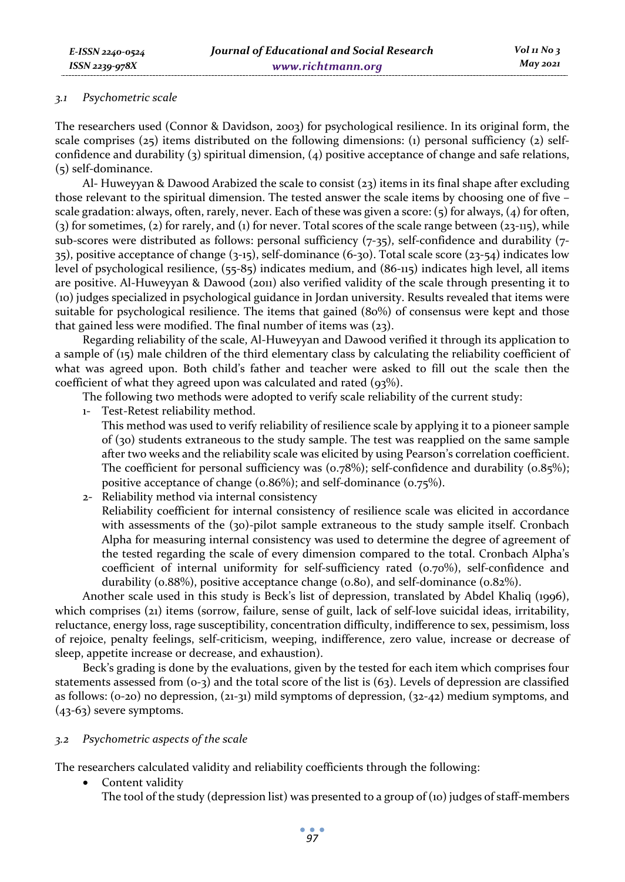#### *3.1 Psychometric scale*

The researchers used (Connor & Davidson, 2003) for psychological resilience. In its original form, the scale comprises (25) items distributed on the following dimensions: (1) personal sufficiency (2) selfconfidence and durability (3) spiritual dimension, (4) positive acceptance of change and safe relations, (5) self-dominance.

Al- Huweyyan & Dawood Arabized the scale to consist (23) items in its final shape after excluding those relevant to the spiritual dimension. The tested answer the scale items by choosing one of five – scale gradation: always, often, rarely, never. Each of these was given a score: (5) for always, (4) for often, (3) for sometimes, (2) for rarely, and (1) for never. Total scores of the scale range between (23-115), while sub-scores were distributed as follows: personal sufficiency (7-35), self-confidence and durability (7- 35), positive acceptance of change (3-15), self-dominance (6-30). Total scale score (23-54) indicates low level of psychological resilience, (55-85) indicates medium, and (86-115) indicates high level, all items are positive. Al-Huweyyan & Dawood (2011) also verified validity of the scale through presenting it to (10) judges specialized in psychological guidance in Jordan university. Results revealed that items were suitable for psychological resilience. The items that gained (80%) of consensus were kept and those that gained less were modified. The final number of items was (23).

Regarding reliability of the scale, Al-Huweyyan and Dawood verified it through its application to a sample of (15) male children of the third elementary class by calculating the reliability coefficient of what was agreed upon. Both child's father and teacher were asked to fill out the scale then the coefficient of what they agreed upon was calculated and rated (93%).

The following two methods were adopted to verify scale reliability of the current study:

- 1- Test-Retest reliability method. This method was used to verify reliability of resilience scale by applying it to a pioneer sample of (30) students extraneous to the study sample. The test was reapplied on the same sample after two weeks and the reliability scale was elicited by using Pearson's correlation coefficient. The coefficient for personal sufficiency was  $(0.78\%)$ ; self-confidence and durability  $(0.85\%)$ ; positive acceptance of change (0.86%); and self-dominance (0.75%).
- 2- Reliability method via internal consistency Reliability coefficient for internal consistency of resilience scale was elicited in accordance with assessments of the (30)-pilot sample extraneous to the study sample itself. Cronbach Alpha for measuring internal consistency was used to determine the degree of agreement of the tested regarding the scale of every dimension compared to the total. Cronbach Alpha's coefficient of internal uniformity for self-sufficiency rated (0.70%), self-confidence and durability (0.88%), positive acceptance change (0.80), and self-dominance (0.82%).

Another scale used in this study is Beck's list of depression, translated by Abdel Khaliq (1996), which comprises (21) items (sorrow, failure, sense of guilt, lack of self-love suicidal ideas, irritability, reluctance, energy loss, rage susceptibility, concentration difficulty, indifference to sex, pessimism, loss of rejoice, penalty feelings, self-criticism, weeping, indifference, zero value, increase or decrease of sleep, appetite increase or decrease, and exhaustion).

Beck's grading is done by the evaluations, given by the tested for each item which comprises four statements assessed from  $(o-3)$  and the total score of the list is  $(63)$ . Levels of depression are classified as follows: (0-20) no depression, (21-31) mild symptoms of depression, (32-42) medium symptoms, and (43-63) severe symptoms.

#### *3.2 Psychometric aspects of the scale*

The researchers calculated validity and reliability coefficients through the following:

• Content validity The tool of the study (depression list) was presented to a group of (10) judges of staff-members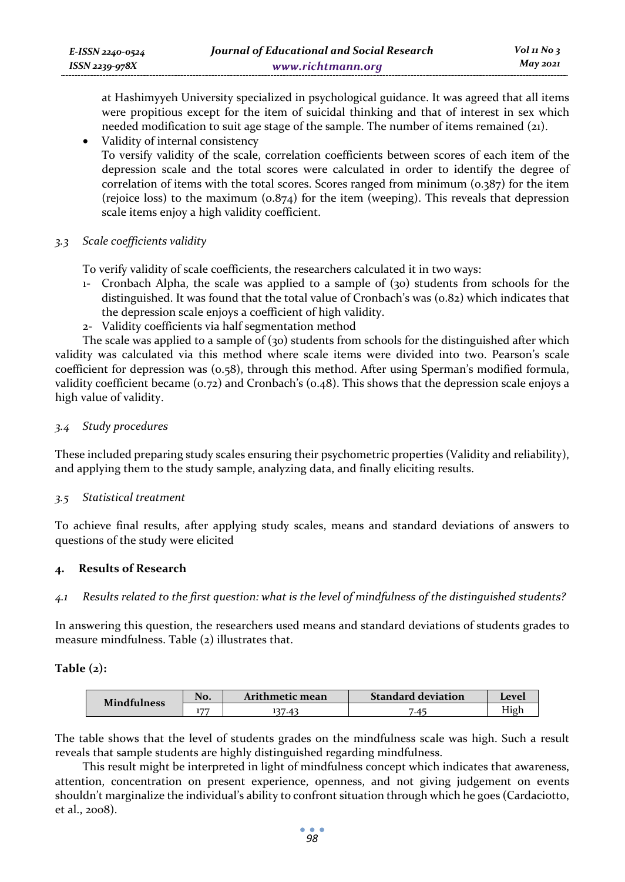at Hashimyyeh University specialized in psychological guidance. It was agreed that all items were propitious except for the item of suicidal thinking and that of interest in sex which needed modification to suit age stage of the sample. The number of items remained (21).

• Validity of internal consistency

To versify validity of the scale, correlation coefficients between scores of each item of the depression scale and the total scores were calculated in order to identify the degree of correlation of items with the total scores. Scores ranged from minimum (0.387) for the item (rejoice loss) to the maximum  $(0.874)$  for the item (weeping). This reveals that depression scale items enjoy a high validity coefficient.

*3.3 Scale coefficients validity* 

To verify validity of scale coefficients, the researchers calculated it in two ways:

- 1- Cronbach Alpha, the scale was applied to a sample of (30) students from schools for the distinguished. It was found that the total value of Cronbach's was (0.82) which indicates that the depression scale enjoys a coefficient of high validity.
- 2- Validity coefficients via half segmentation method

The scale was applied to a sample of  $(30)$  students from schools for the distinguished after which validity was calculated via this method where scale items were divided into two. Pearson's scale coefficient for depression was (0.58), through this method. After using Sperman's modified formula, validity coefficient became (0.72) and Cronbach's (0.48). This shows that the depression scale enjoys a high value of validity.

## *3.4 Study procedures*

These included preparing study scales ensuring their psychometric properties (Validity and reliability), and applying them to the study sample, analyzing data, and finally eliciting results.

## *3.5 Statistical treatment*

To achieve final results, after applying study scales, means and standard deviations of answers to questions of the study were elicited

## **4. Results of Research**

*4.1 Results related to the first question: what is the level of mindfulness of the distinguished students?* 

In answering this question, the researchers used means and standard deviations of students grades to measure mindfulness. Table (2) illustrates that.

#### **Table (2):**

| <b>Mindfulness</b> | No. | Arithmetic mean | <b>Standard deviation</b> | Level |
|--------------------|-----|-----------------|---------------------------|-------|
|                    | 177 | 37.43           | .4 <sup>5</sup>           | High  |

The table shows that the level of students grades on the mindfulness scale was high. Such a result reveals that sample students are highly distinguished regarding mindfulness.

This result might be interpreted in light of mindfulness concept which indicates that awareness, attention, concentration on present experience, openness, and not giving judgement on events shouldn't marginalize the individual's ability to confront situation through which he goes (Cardaciotto, et al., 2008).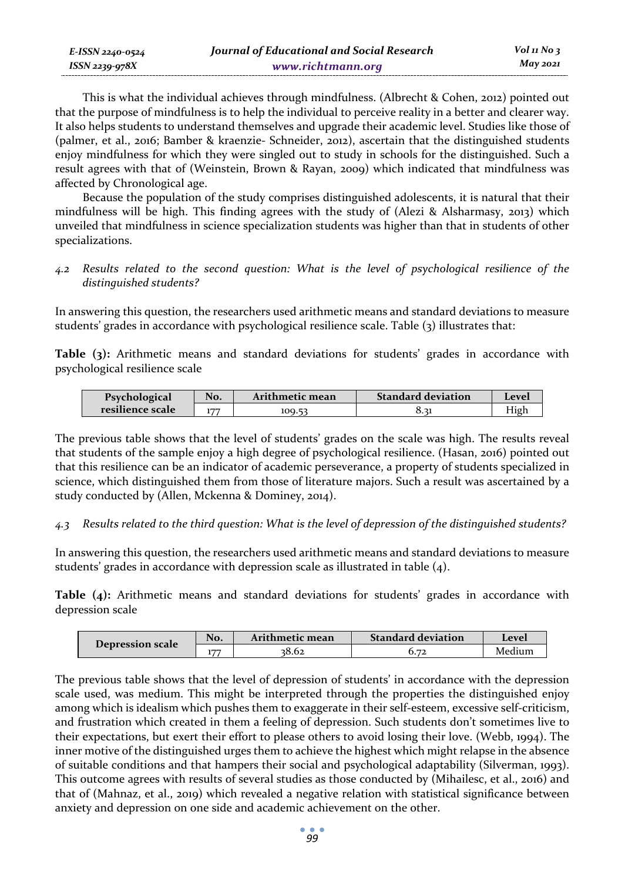| E-ISSN 2240-0524 | Journal of Educational and Social Research | Vol 11 No $\frac{1}{3}$ |
|------------------|--------------------------------------------|-------------------------|
| ISSN 2239-978X   | www.richtmann.org                          | May 2021                |

This is what the individual achieves through mindfulness. (Albrecht & Cohen, 2012) pointed out that the purpose of mindfulness is to help the individual to perceive reality in a better and clearer way. It also helps students to understand themselves and upgrade their academic level. Studies like those of (palmer, et al., 2016; Bamber & kraenzie- Schneider, 2012), ascertain that the distinguished students enjoy mindfulness for which they were singled out to study in schools for the distinguished. Such a result agrees with that of (Weinstein, Brown & Rayan, 2009) which indicated that mindfulness was affected by Chronological age.

Because the population of the study comprises distinguished adolescents, it is natural that their mindfulness will be high. This finding agrees with the study of (Alezi & Alsharmasy, 2013) which unveiled that mindfulness in science specialization students was higher than that in students of other specializations.

*4.2 Results related to the second question: What is the level of psychological resilience of the distinguished students?* 

In answering this question, the researchers used arithmetic means and standard deviations to measure students' grades in accordance with psychological resilience scale. Table (3) illustrates that:

**Table (3):** Arithmetic means and standard deviations for students' grades in accordance with psychological resilience scale

| Psychological    | No. | Arithmetic mean | <b>Standard deviation</b> | l evel. |
|------------------|-----|-----------------|---------------------------|---------|
| resilience scale | 177 | 100.52          | 0.31                      | High    |

The previous table shows that the level of students' grades on the scale was high. The results reveal that students of the sample enjoy a high degree of psychological resilience. (Hasan, 2016) pointed out that this resilience can be an indicator of academic perseverance, a property of students specialized in science, which distinguished them from those of literature majors. Such a result was ascertained by a study conducted by (Allen, Mckenna & Dominey, 2014).

*4.3 Results related to the third question: What is the level of depression of the distinguished students?* 

In answering this question, the researchers used arithmetic means and standard deviations to measure students' grades in accordance with depression scale as illustrated in table  $(4)$ .

**Table (4):** Arithmetic means and standard deviations for students' grades in accordance with depression scale

| Depression scale | No. | Arithmetic mean | <b>Standard deviation</b> | Level  |
|------------------|-----|-----------------|---------------------------|--------|
|                  | ——  | 38.62           | $\mathbf{z}$              | Medium |

The previous table shows that the level of depression of students' in accordance with the depression scale used, was medium. This might be interpreted through the properties the distinguished enjoy among which is idealism which pushes them to exaggerate in their self-esteem, excessive self-criticism, and frustration which created in them a feeling of depression. Such students don't sometimes live to their expectations, but exert their effort to please others to avoid losing their love. (Webb, 1994). The inner motive of the distinguished urges them to achieve the highest which might relapse in the absence of suitable conditions and that hampers their social and psychological adaptability (Silverman, 1993). This outcome agrees with results of several studies as those conducted by (Mihailesc, et al., 2016) and that of (Mahnaz, et al., 2019) which revealed a negative relation with statistical significance between anxiety and depression on one side and academic achievement on the other.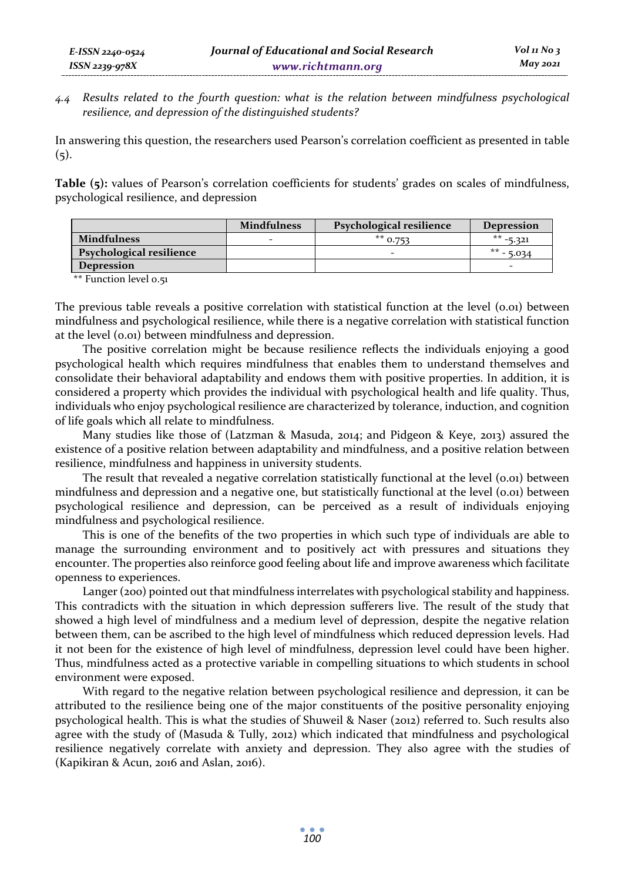*4.4 Results related to the fourth question: what is the relation between mindfulness psychological resilience, and depression of the distinguished students?* 

In answering this question, the researchers used Pearson's correlation coefficient as presented in table  $(5).$ 

**Table (5):** values of Pearson's correlation coefficients for students' grades on scales of mindfulness, psychological resilience, and depression

|                          | <b>Mindfulness</b> | Psychological resilience | <b>Depression</b>        |
|--------------------------|--------------------|--------------------------|--------------------------|
| <b>Mindfulness</b>       |                    | $**$ 0.753               | $** -5.321$              |
| Psychological resilience |                    |                          | $** - 5.034$             |
| <b>Depression</b>        |                    |                          | $\overline{\phantom{0}}$ |

\*\* Function level 0.51

*E-ISSN 2240-0524 ISSN 2239-978X*

The previous table reveals a positive correlation with statistical function at the level (0.01) between mindfulness and psychological resilience, while there is a negative correlation with statistical function at the level (0.01) between mindfulness and depression.

The positive correlation might be because resilience reflects the individuals enjoying a good psychological health which requires mindfulness that enables them to understand themselves and consolidate their behavioral adaptability and endows them with positive properties. In addition, it is considered a property which provides the individual with psychological health and life quality. Thus, individuals who enjoy psychological resilience are characterized by tolerance, induction, and cognition of life goals which all relate to mindfulness.

Many studies like those of (Latzman & Masuda, 2014; and Pidgeon & Keye, 2013) assured the existence of a positive relation between adaptability and mindfulness, and a positive relation between resilience, mindfulness and happiness in university students.

The result that revealed a negative correlation statistically functional at the level (0.01) between mindfulness and depression and a negative one, but statistically functional at the level (0.01) between psychological resilience and depression, can be perceived as a result of individuals enjoying mindfulness and psychological resilience.

This is one of the benefits of the two properties in which such type of individuals are able to manage the surrounding environment and to positively act with pressures and situations they encounter. The properties also reinforce good feeling about life and improve awareness which facilitate openness to experiences.

Langer (200) pointed out that mindfulness interrelates with psychological stability and happiness. This contradicts with the situation in which depression sufferers live. The result of the study that showed a high level of mindfulness and a medium level of depression, despite the negative relation between them, can be ascribed to the high level of mindfulness which reduced depression levels. Had it not been for the existence of high level of mindfulness, depression level could have been higher. Thus, mindfulness acted as a protective variable in compelling situations to which students in school environment were exposed.

With regard to the negative relation between psychological resilience and depression, it can be attributed to the resilience being one of the major constituents of the positive personality enjoying psychological health. This is what the studies of Shuweil & Naser (2012) referred to. Such results also agree with the study of (Masuda & Tully, 2012) which indicated that mindfulness and psychological resilience negatively correlate with anxiety and depression. They also agree with the studies of (Kapikiran & Acun, 2016 and Aslan, 2016).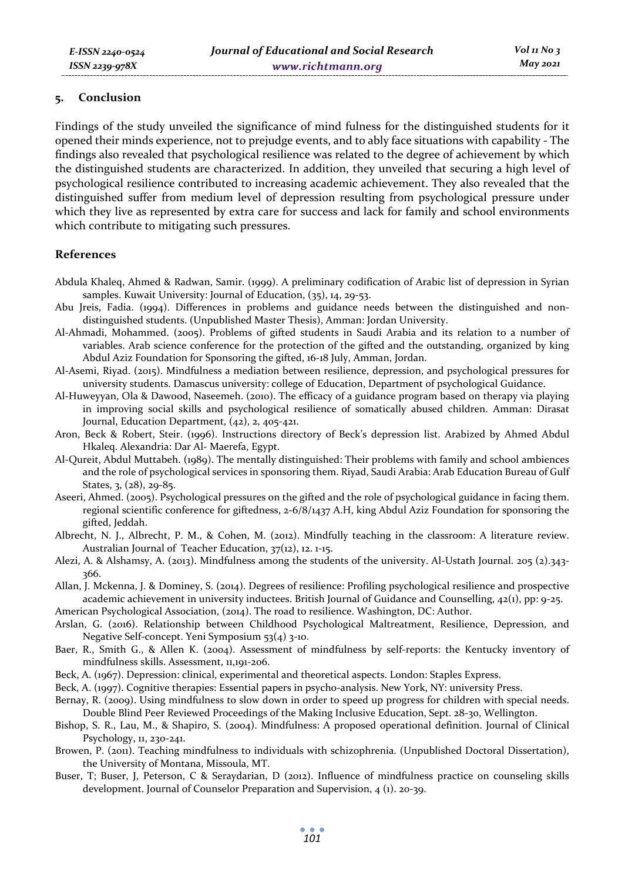#### **5. Conclusion**

Findings of the study unveiled the significance of mind fulness for the distinguished students for it opened their minds experience, not to prejudge events, and to ably face situations with capability - The findings also revealed that psychological resilience was related to the degree of achievement by which the distinguished students are characterized. In addition, they unveiled that securing a high level of psychological resilience contributed to increasing academic achievement. They also revealed that the distinguished suffer from medium level of depression resulting from psychological pressure under which they live as represented by extra care for success and lack for family and school environments which contribute to mitigating such pressures.

#### **References**

- Abdula Khaleq, Ahmed & Radwan, Samir. (1999). A preliminary codification of Arabic list of depression in Syrian samples. Kuwait University: Journal of Education, (35), 14, 29-53.
- Abu Jreis, Fadia. (1994). Differences in problems and guidance needs between the distinguished and nondistinguished students. (Unpublished Master Thesis), Amman: Jordan University.
- Al-Ahmadi, Mohammed. (2005). Problems of gifted students in Saudi Arabia and its relation to a number of variables. Arab science conference for the protection of the gifted and the outstanding, organized by king Abdul Aziz Foundation for Sponsoring the gifted, 16-18 July, Amman, Jordan.
- Al-Asemi, Riyad. (2015). Mindfulness a mediation between resilience, depression, and psychological pressures for university students. Damascus university: college of Education, Department of psychological Guidance.
- Al-Huweyyan, Ola & Dawood, Naseemeh. (2010). The efficacy of a guidance program based on therapy via playing in improving social skills and psychological resilience of somatically abused children. Amman: Dirasat Journal, Education Department, (42), 2, 405-421.
- Aron, Beck & Robert, Steir. (1996). Instructions directory of Beck's depression list. Arabized by Ahmed Abdul Hkaleq. Alexandria: Dar Al- Maerefa, Egypt.
- Al-Qureit, Abdul Muttabeh. (1989). The mentally distinguished: Their problems with family and school ambiences and the role of psychological services in sponsoring them. Riyad, Saudi Arabia: Arab Education Bureau of Gulf States, 3, (28), 29-85.
- Aseeri, Ahmed. (2005). Psychological pressures on the gifted and the role of psychological guidance in facing them. regional scientific conference for giftedness, 2-6/8/1437 A.H, king Abdul Aziz Foundation for sponsoring the gifted, Jeddah.
- Albrecht, N. J., Albrecht, P. M., & Cohen, M. (2012). Mindfully teaching in the classroom: A literature review. Australian Journal of Teacher Education, 37(12), 12. 1-15.
- Alezi, A. & Alshamsy, A. (2013). Mindfulness among the students of the university. Al-Ustath Journal. 205 (2).343- 366.
- Allan, J. Mckenna, J. & Dominey, S. (2014). Degrees of resilience: Profiling psychological resilience and prospective academic achievement in university inductees. British Journal of Guidance and Counselling, 42(1), pp: 9-25.
- American Psychological Association, (2014). The road to resilience. Washington, DC: Author.
- Arslan, G. (2016). Relationship between Childhood Psychological Maltreatment, Resilience, Depression, and Negative Self-concept. Yeni Symposium 53(4) 3-10.
- Baer, R., Smith G., & Allen K. (2004). Assessment of mindfulness by self-reports: the Kentucky inventory of mindfulness skills. Assessment, 11,191-206.
- Beck, A. (1967). Depression: clinical, experimental and theoretical aspects. London: Staples Express.
- Beck, A. (1997). Cognitive therapies: Essential papers in psycho-analysis. New York, NY: university Press.
- Bernay, R. (2009). Using mindfulness to slow down in order to speed up progress for children with special needs. Double Blind Peer Reviewed Proceedings of the Making Inclusive Education, Sept. 28-30, Wellington.
- Bishop, S. R., Lau, M., & Shapiro, S. (2004). Mindfulness: A proposed operational definition. Journal of Clinical Psychology, 11, 230-241.
- Browen, P. (2011). Teaching mindfulness to individuals with schizophrenia. (Unpublished Doctoral Dissertation), the University of Montana, Missoula, MT.
- Buser, T; Buser, J, Peterson, C & Seraydarian, D (2012). Influence of mindfulness practice on counseling skills development. Journal of Counselor Preparation and Supervision, 4 (1). 20-39.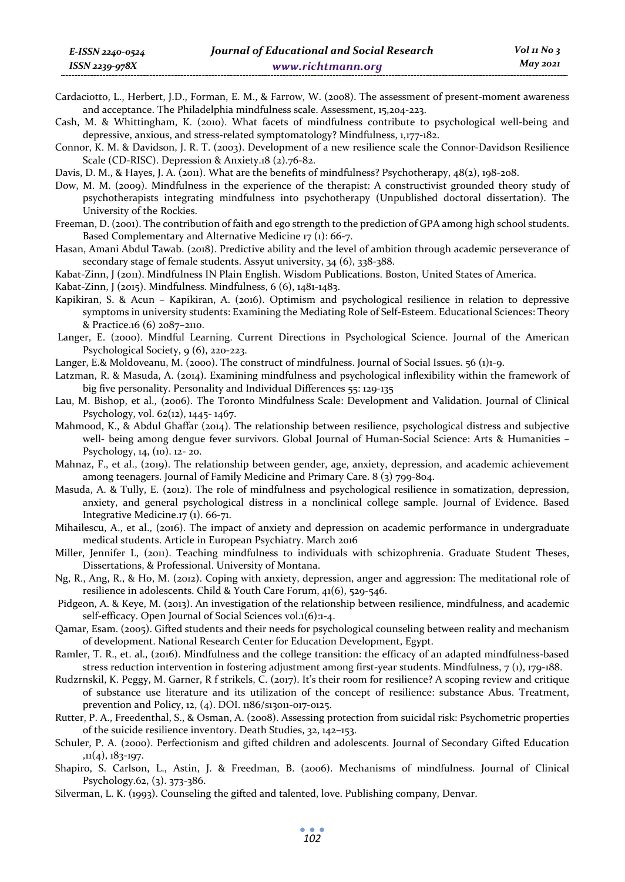- Cardaciotto, L., Herbert, J.D., Forman, E. M., & Farrow, W. (2008). The assessment of present-moment awareness and acceptance. The Philadelphia mindfulness scale. Assessment, 15,204-223.
- Cash, M. & Whittingham, K. (2010). What facets of mindfulness contribute to psychological well-being and depressive, anxious, and stress-related symptomatology? Mindfulness, 1,177-182.
- Connor, K. M. & Davidson, J. R. T. (2003). Development of a new resilience scale the Connor-Davidson Resilience Scale (CD-RISC). Depression & Anxiety.18 (2).76-82.
- Davis, D. M., & Hayes, J. A. (2011). What are the benefits of mindfulness? Psychotherapy, 48(2), 198-208.
- Dow, M. M. (2009). Mindfulness in the experience of the therapist: A constructivist grounded theory study of psychotherapists integrating mindfulness into psychotherapy (Unpublished doctoral dissertation). The University of the Rockies.
- Freeman, D. (2001). The contribution of faith and ego strength to the prediction of GPA among high school students. Based Complementary and Alternative Medicine 17 (1): 66-7.
- Hasan, Amani Abdul Tawab. (2018). Predictive ability and the level of ambition through academic perseverance of secondary stage of female students. Assyut university, 34 (6), 338-388.
- Kabat-Zinn, J (2011). Mindfulness IN Plain English. Wisdom Publications. Boston, United States of America.
- Kabat-Zinn, J (2015). Mindfulness. Mindfulness, 6 (6), 1481-1483.
- Kapikiran, S. & Acun Kapikiran, A. (2016). Optimism and psychological resilience in relation to depressive symptoms in university students: Examining the Mediating Role of Self-Esteem. Educational Sciences: Theory & Practice.16 (6) 2087–2110.
- Langer, E. (2000). Mindful Learning. Current Directions in Psychological Science. Journal of the American Psychological Society, 9 (6), 220-223.
- Langer, E.& Moldoveanu, M. (2000). The construct of mindfulness. Journal of Social Issues. 56 (1)1-9.
- Latzman, R. & Masuda, A. (2014). Examining mindfulness and psychological inflexibility within the framework of big five personality. Personality and Individual Differences 55: 129-135
- Lau, M. Bishop, et al., (2006). The Toronto Mindfulness Scale: Development and Validation. Journal of Clinical Psychology, vol. 62(12), 1445- 1467.
- Mahmood, K., & Abdul Ghaffar (2014). The relationship between resilience, psychological distress and subjective well- being among dengue fever survivors. Global Journal of Human-Social Science: Arts & Humanities – Psychology, 14, (10). 12- 20.
- Mahnaz, F., et al., (2019). The relationship between gender, age, anxiety, depression, and academic achievement among teenagers. Journal of Family Medicine and Primary Care. 8 (3) 799-804.
- Masuda, A. & Tully, E. (2012). The role of mindfulness and psychological resilience in somatization, depression, anxiety, and general psychological distress in a nonclinical college sample. Journal of Evidence. Based Integrative Medicine.17 (1). 66-71.
- Mihailescu, A., et al., (2016). The impact of anxiety and depression on academic performance in undergraduate medical students. Article in European Psychiatry. March 2016
- Miller, Jennifer L, (2011). Teaching mindfulness to individuals with schizophrenia. Graduate Student Theses, Dissertations, & Professional. University of Montana.
- Ng, R., Ang, R., & Ho, M. (2012). Coping with anxiety, depression, anger and aggression: The meditational role of resilience in adolescents. Child & Youth Care Forum, 41(6), 529-546.
- Pidgeon, A. & Keye, M. (2013). An investigation of the relationship between resilience, mindfulness, and academic self-efficacy. Open Journal of Social Sciences vol.1(6):1-4.
- Qamar, Esam. (2005). Gifted students and their needs for psychological counseling between reality and mechanism of development. National Research Center for Education Development, Egypt.
- Ramler, T. R., et. al., (2016). Mindfulness and the college transition: the efficacy of an adapted mindfulness-based stress reduction intervention in fostering adjustment among first-year students. Mindfulness, 7 (1), 179-188.
- Rudzrnskil, K. Peggy, M. Garner, R f strikels, C. (2017). It's their room for resilience? A scoping review and critique of substance use literature and its utilization of the concept of resilience: substance Abus. Treatment, prevention and Policy, 12, (4). DOI. 1186/s13011-017-0125.
- Rutter, P. A., Freedenthal, S., & Osman, A. (2008). Assessing protection from suicidal risk: Psychometric properties of the suicide resilience inventory. Death Studies, 32, 142–153.
- Schuler, P. A. (2000). Perfectionism and gifted children and adolescents. Journal of Secondary Gifted Education ,11(4), 183-197.
- Shapiro, S. Carlson, L., Astin, J. & Freedman, B. (2006). Mechanisms of mindfulness. Journal of Clinical Psychology.62, (3). 373-386.
- Silverman, L. K. (1993). Counseling the gifted and talented, love. Publishing company, Denvar.